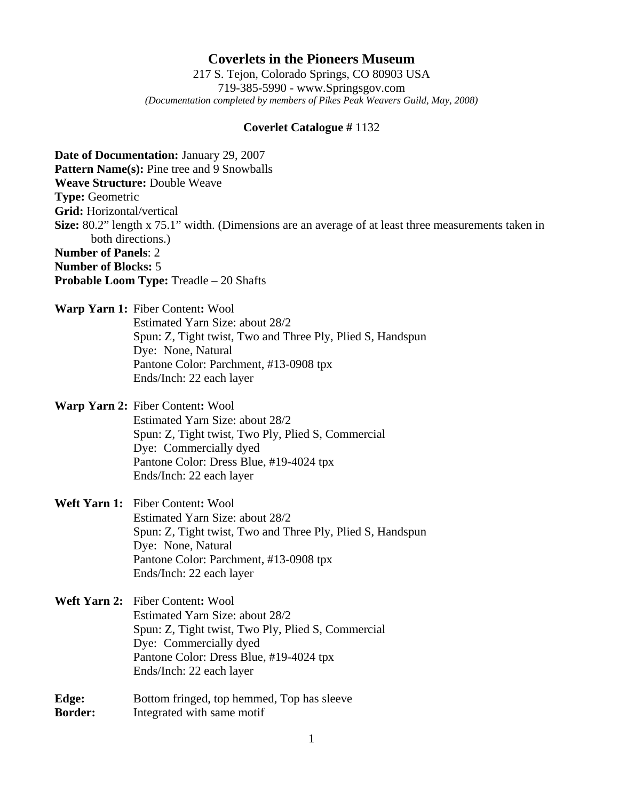## **Coverlets in the Pioneers Museum**

217 S. Tejon, Colorado Springs, CO 80903 USA 719-385-5990 - www.Springsgov.com *(Documentation completed by members of Pikes Peak Weavers Guild, May, 2008)* 

## **Coverlet Catalogue #** 1132

**Date of Documentation:** January 29, 2007 **Pattern Name(s): Pine tree and 9 Snowballs Weave Structure:** Double Weave **Type:** Geometric **Grid:** Horizontal/vertical **Size:** 80.2" length x 75.1" width. (Dimensions are an average of at least three measurements taken in both directions.) **Number of Panels**: 2 **Number of Blocks:** 5 **Probable Loom Type:** Treadle – 20 Shafts **Warp Yarn 1:** Fiber Content**:** Wool Estimated Yarn Size: about 28/2 Spun: Z, Tight twist, Two and Three Ply, Plied S, Handspun Dye: None, Natural Pantone Color: Parchment, #13-0908 tpx Ends/Inch: 22 each layer **Warp Yarn 2:** Fiber Content**:** Wool Estimated Yarn Size: about 28/2 Spun: Z, Tight twist, Two Ply, Plied S, Commercial Dye: Commercially dyed Pantone Color: Dress Blue, #19-4024 tpx Ends/Inch: 22 each layer **Weft Yarn 1:** Fiber Content**:** Wool Estimated Yarn Size: about 28/2 Spun: Z, Tight twist, Two and Three Ply, Plied S, Handspun Dye: None, Natural Pantone Color: Parchment, #13-0908 tpx Ends/Inch: 22 each layer **Weft Yarn 2:** Fiber Content**:** Wool Estimated Yarn Size: about 28/2 Spun: Z, Tight twist, Two Ply, Plied S, Commercial Dye: Commercially dyed Pantone Color: Dress Blue, #19-4024 tpx Ends/Inch: 22 each layer Edge: Bottom fringed, top hemmed, Top has sleeve

**Border:** Integrated with same motif